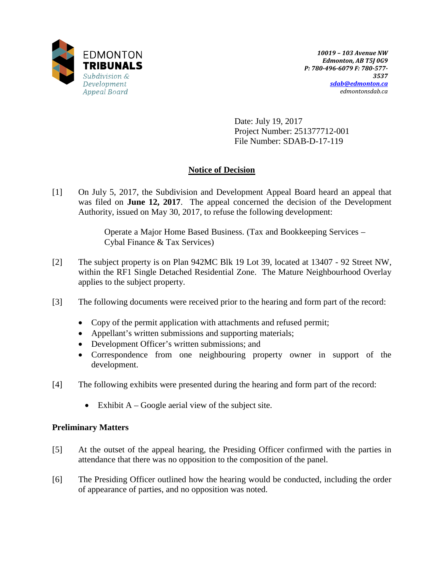

Date: July 19, 2017 Project Number: 251377712-001 File Number: SDAB-D-17-119

# **Notice of Decision**

[1] On July 5, 2017, the Subdivision and Development Appeal Board heard an appeal that was filed on **June 12, 2017**. The appeal concerned the decision of the Development Authority, issued on May 30, 2017, to refuse the following development:

> Operate a Major Home Based Business. (Tax and Bookkeeping Services – Cybal Finance & Tax Services)

- [2] The subject property is on Plan 942MC Blk 19 Lot 39, located at 13407 92 Street NW, within the RF1 Single Detached Residential Zone. The Mature Neighbourhood Overlay applies to the subject property.
- [3] The following documents were received prior to the hearing and form part of the record:
	- Copy of the permit application with attachments and refused permit;
	- Appellant's written submissions and supporting materials;
	- Development Officer's written submissions; and
	- Correspondence from one neighbouring property owner in support of the development.
- [4] The following exhibits were presented during the hearing and form part of the record:
	- Exhibit  $A Google$  aerial view of the subject site.

## **Preliminary Matters**

- [5] At the outset of the appeal hearing, the Presiding Officer confirmed with the parties in attendance that there was no opposition to the composition of the panel.
- [6] The Presiding Officer outlined how the hearing would be conducted, including the order of appearance of parties, and no opposition was noted.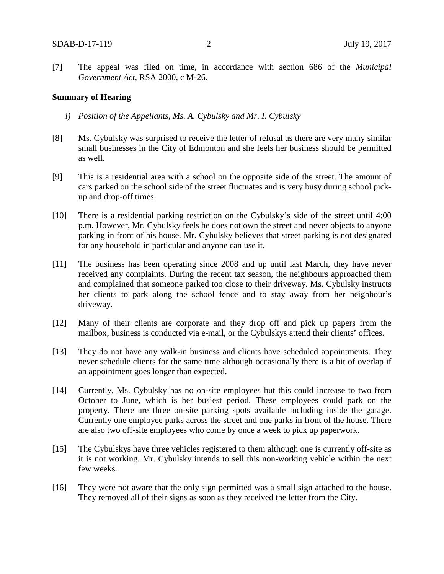[7] The appeal was filed on time, in accordance with section 686 of the *Municipal Government Act*, RSA 2000, c M-26.

#### **Summary of Hearing**

- *i) Position of the Appellants, Ms. A. Cybulsky and Mr. I. Cybulsky*
- [8] Ms. Cybulsky was surprised to receive the letter of refusal as there are very many similar small businesses in the City of Edmonton and she feels her business should be permitted as well.
- [9] This is a residential area with a school on the opposite side of the street. The amount of cars parked on the school side of the street fluctuates and is very busy during school pickup and drop-off times.
- [10] There is a residential parking restriction on the Cybulsky's side of the street until 4:00 p.m. However, Mr. Cybulsky feels he does not own the street and never objects to anyone parking in front of his house. Mr. Cybulsky believes that street parking is not designated for any household in particular and anyone can use it.
- [11] The business has been operating since 2008 and up until last March, they have never received any complaints. During the recent tax season, the neighbours approached them and complained that someone parked too close to their driveway. Ms. Cybulsky instructs her clients to park along the school fence and to stay away from her neighbour's driveway.
- [12] Many of their clients are corporate and they drop off and pick up papers from the mailbox, business is conducted via e-mail, or the Cybulskys attend their clients' offices.
- [13] They do not have any walk-in business and clients have scheduled appointments. They never schedule clients for the same time although occasionally there is a bit of overlap if an appointment goes longer than expected.
- [14] Currently, Ms. Cybulsky has no on-site employees but this could increase to two from October to June, which is her busiest period. These employees could park on the property. There are three on-site parking spots available including inside the garage. Currently one employee parks across the street and one parks in front of the house. There are also two off-site employees who come by once a week to pick up paperwork.
- [15] The Cybulskys have three vehicles registered to them although one is currently off-site as it is not working. Mr. Cybulsky intends to sell this non-working vehicle within the next few weeks.
- [16] They were not aware that the only sign permitted was a small sign attached to the house. They removed all of their signs as soon as they received the letter from the City.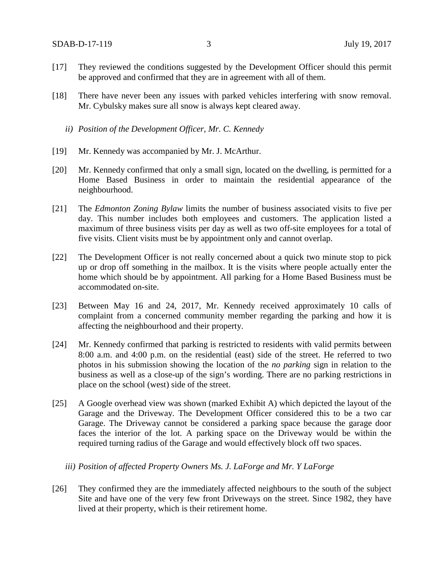- [17] They reviewed the conditions suggested by the Development Officer should this permit be approved and confirmed that they are in agreement with all of them.
- [18] There have never been any issues with parked vehicles interfering with snow removal. Mr. Cybulsky makes sure all snow is always kept cleared away.
	- *ii) Position of the Development Officer, Mr. C. Kennedy*
- [19] Mr. Kennedy was accompanied by Mr. J. McArthur.
- [20] Mr. Kennedy confirmed that only a small sign, located on the dwelling, is permitted for a Home Based Business in order to maintain the residential appearance of the neighbourhood.
- [21] The *Edmonton Zoning Bylaw* limits the number of business associated visits to five per day. This number includes both employees and customers. The application listed a maximum of three business visits per day as well as two off-site employees for a total of five visits. Client visits must be by appointment only and cannot overlap.
- [22] The Development Officer is not really concerned about a quick two minute stop to pick up or drop off something in the mailbox. It is the visits where people actually enter the home which should be by appointment. All parking for a Home Based Business must be accommodated on-site.
- [23] Between May 16 and 24, 2017, Mr. Kennedy received approximately 10 calls of complaint from a concerned community member regarding the parking and how it is affecting the neighbourhood and their property.
- [24] Mr. Kennedy confirmed that parking is restricted to residents with valid permits between 8:00 a.m. and 4:00 p.m. on the residential (east) side of the street. He referred to two photos in his submission showing the location of the *no parking* sign in relation to the business as well as a close-up of the sign's wording. There are no parking restrictions in place on the school (west) side of the street.
- [25] A Google overhead view was shown (marked Exhibit A) which depicted the layout of the Garage and the Driveway. The Development Officer considered this to be a two car Garage. The Driveway cannot be considered a parking space because the garage door faces the interior of the lot. A parking space on the Driveway would be within the required turning radius of the Garage and would effectively block off two spaces.
	- *iii) Position of affected Property Owners Ms. J. LaForge and Mr. Y LaForge*
- [26] They confirmed they are the immediately affected neighbours to the south of the subject Site and have one of the very few front Driveways on the street. Since 1982, they have lived at their property, which is their retirement home.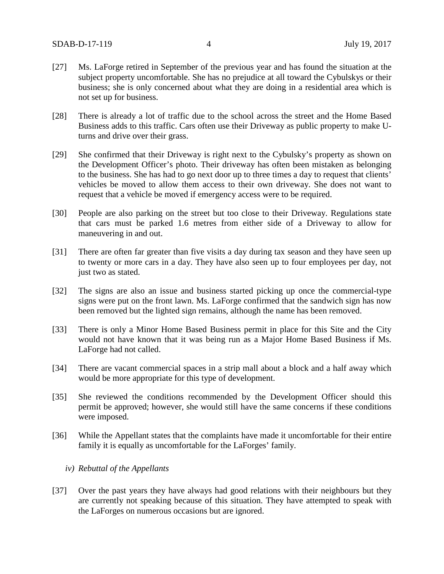- [27] Ms. LaForge retired in September of the previous year and has found the situation at the subject property uncomfortable. She has no prejudice at all toward the Cybulskys or their business; she is only concerned about what they are doing in a residential area which is not set up for business.
- [28] There is already a lot of traffic due to the school across the street and the Home Based Business adds to this traffic. Cars often use their Driveway as public property to make Uturns and drive over their grass.
- [29] She confirmed that their Driveway is right next to the Cybulsky's property as shown on the Development Officer's photo. Their driveway has often been mistaken as belonging to the business. She has had to go next door up to three times a day to request that clients' vehicles be moved to allow them access to their own driveway. She does not want to request that a vehicle be moved if emergency access were to be required.
- [30] People are also parking on the street but too close to their Driveway. Regulations state that cars must be parked 1.6 metres from either side of a Driveway to allow for maneuvering in and out.
- [31] There are often far greater than five visits a day during tax season and they have seen up to twenty or more cars in a day. They have also seen up to four employees per day, not just two as stated.
- [32] The signs are also an issue and business started picking up once the commercial-type signs were put on the front lawn. Ms. LaForge confirmed that the sandwich sign has now been removed but the lighted sign remains, although the name has been removed.
- [33] There is only a Minor Home Based Business permit in place for this Site and the City would not have known that it was being run as a Major Home Based Business if Ms. LaForge had not called.
- [34] There are vacant commercial spaces in a strip mall about a block and a half away which would be more appropriate for this type of development.
- [35] She reviewed the conditions recommended by the Development Officer should this permit be approved; however, she would still have the same concerns if these conditions were imposed.
- [36] While the Appellant states that the complaints have made it uncomfortable for their entire family it is equally as uncomfortable for the LaForges' family.
	- *iv) Rebuttal of the Appellants*
- [37] Over the past years they have always had good relations with their neighbours but they are currently not speaking because of this situation. They have attempted to speak with the LaForges on numerous occasions but are ignored.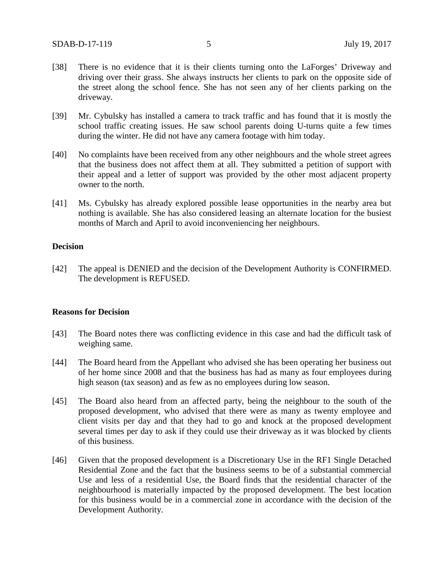- [38] There is no evidence that it is their clients turning onto the LaForges' Driveway and driving over their grass. She always instructs her clients to park on the opposite side of the street along the school fence. She has not seen any of her clients parking on the driveway.
- [39] Mr. Cybulsky has installed a camera to track traffic and has found that it is mostly the school traffic creating issues. He saw school parents doing U-turns quite a few times during the winter. He did not have any camera footage with him today.
- [40] No complaints have been received from any other neighbours and the whole street agrees that the business does not affect them at all. They submitted a petition of support with their appeal and a letter of support was provided by the other most adjacent property owner to the north.
- [41] Ms. Cybulsky has already explored possible lease opportunities in the nearby area but nothing is available. She has also considered leasing an alternate location for the busiest months of March and April to avoid inconveniencing her neighbours.

#### **Decision**

[42] The appeal is DENIED and the decision of the Development Authority is CONFIRMED. The development is REFUSED.

## **Reasons for Decision**

- [43] The Board notes there was conflicting evidence in this case and had the difficult task of weighing same.
- [44] The Board heard from the Appellant who advised she has been operating her business out of her home since 2008 and that the business has had as many as four employees during high season (tax season) and as few as no employees during low season.
- [45] The Board also heard from an affected party, being the neighbour to the south of the proposed development, who advised that there were as many as twenty employee and client visits per day and that they had to go and knock at the proposed development several times per day to ask if they could use their driveway as it was blocked by clients of this business.
- [46] Given that the proposed development is a Discretionary Use in the RF1 Single Detached Residential Zone and the fact that the business seems to be of a substantial commercial Use and less of a residential Use, the Board finds that the residential character of the neighbourhood is materially impacted by the proposed development. The best location for this business would be in a commercial zone in accordance with the decision of the Development Authority.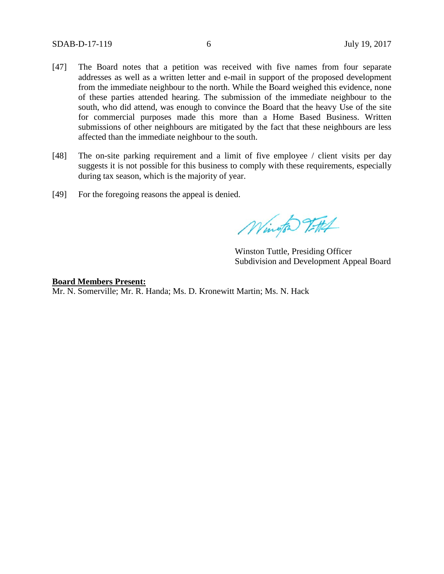- [47] The Board notes that a petition was received with five names from four separate addresses as well as a written letter and e-mail in support of the proposed development from the immediate neighbour to the north. While the Board weighed this evidence, none of these parties attended hearing. The submission of the immediate neighbour to the south, who did attend, was enough to convince the Board that the heavy Use of the site for commercial purposes made this more than a Home Based Business. Written submissions of other neighbours are mitigated by the fact that these neighbours are less affected than the immediate neighbour to the south.
- [48] The on-site parking requirement and a limit of five employee / client visits per day suggests it is not possible for this business to comply with these requirements, especially during tax season, which is the majority of year.
- [49] For the foregoing reasons the appeal is denied.

Wington Titlet

Winston Tuttle, Presiding Officer Subdivision and Development Appeal Board

**Board Members Present:** Mr. N. Somerville; Mr. R. Handa; Ms. D. Kronewitt Martin; Ms. N. Hack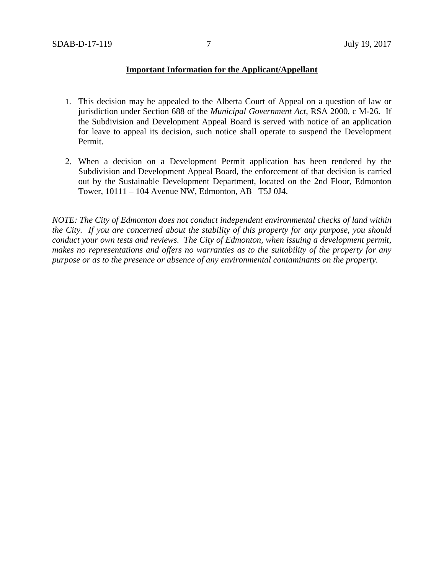## **Important Information for the Applicant/Appellant**

- 1. This decision may be appealed to the Alberta Court of Appeal on a question of law or jurisdiction under Section 688 of the *Municipal Government Act*, RSA 2000, c M-26. If the Subdivision and Development Appeal Board is served with notice of an application for leave to appeal its decision, such notice shall operate to suspend the Development Permit.
- 2. When a decision on a Development Permit application has been rendered by the Subdivision and Development Appeal Board, the enforcement of that decision is carried out by the Sustainable Development Department, located on the 2nd Floor, Edmonton Tower, 10111 – 104 Avenue NW, Edmonton, AB T5J 0J4.

*NOTE: The City of Edmonton does not conduct independent environmental checks of land within the City. If you are concerned about the stability of this property for any purpose, you should conduct your own tests and reviews. The City of Edmonton, when issuing a development permit, makes no representations and offers no warranties as to the suitability of the property for any purpose or as to the presence or absence of any environmental contaminants on the property.*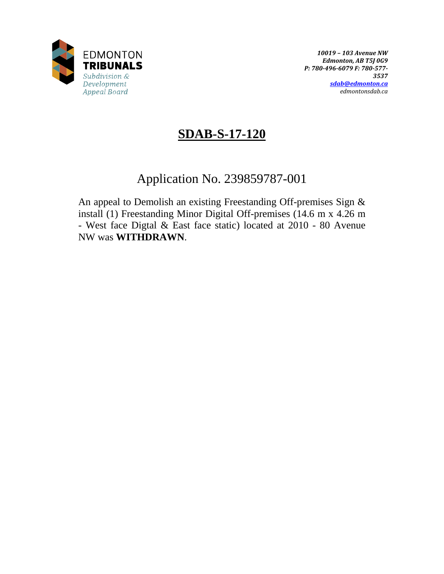

# **SDAB-S-17-120**

# Application No. 239859787-001

An appeal to Demolish an existing Freestanding Off-premises Sign & install (1) Freestanding Minor Digital Off-premises (14.6 m x 4.26 m - West face Digtal & East face static) located at 2010 - 80 Avenue NW was **WITHDRAWN**.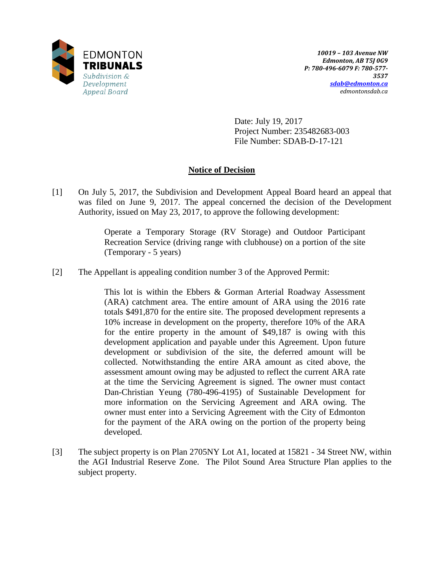

Date: July 19, 2017 Project Number: 235482683-003 File Number: SDAB-D-17-121

# **Notice of Decision**

[1] On July 5, 2017, the Subdivision and Development Appeal Board heard an appeal that was filed on June 9, 2017. The appeal concerned the decision of the Development Authority, issued on May 23, 2017, to approve the following development:

> Operate a Temporary Storage (RV Storage) and Outdoor Participant Recreation Service (driving range with clubhouse) on a portion of the site (Temporary - 5 years)

[2] The Appellant is appealing condition number 3 of the Approved Permit:

This lot is within the Ebbers & Gorman Arterial Roadway Assessment (ARA) catchment area. The entire amount of ARA using the 2016 rate totals \$491,870 for the entire site. The proposed development represents a 10% increase in development on the property, therefore 10% of the ARA for the entire property in the amount of \$49,187 is owing with this development application and payable under this Agreement. Upon future development or subdivision of the site, the deferred amount will be collected. Notwithstanding the entire ARA amount as cited above, the assessment amount owing may be adjusted to reflect the current ARA rate at the time the Servicing Agreement is signed. The owner must contact Dan-Christian Yeung (780-496-4195) of Sustainable Development for more information on the Servicing Agreement and ARA owing. The owner must enter into a Servicing Agreement with the City of Edmonton for the payment of the ARA owing on the portion of the property being developed.

[3] The subject property is on Plan 2705NY Lot A1, located at 15821 - 34 Street NW, within the AGI Industrial Reserve Zone. The Pilot Sound Area Structure Plan applies to the subject property.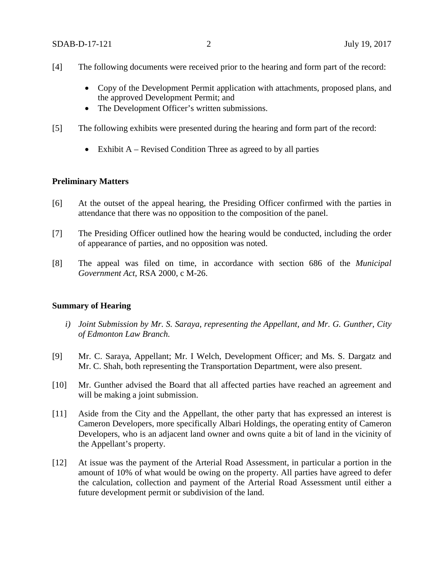- [4] The following documents were received prior to the hearing and form part of the record:
	- Copy of the Development Permit application with attachments, proposed plans, and the approved Development Permit; and
	- The Development Officer's written submissions.
- [5] The following exhibits were presented during the hearing and form part of the record:
	- Exhibit  $A Revised Condition Three as agreed to by all parties$

## **Preliminary Matters**

- [6] At the outset of the appeal hearing, the Presiding Officer confirmed with the parties in attendance that there was no opposition to the composition of the panel.
- [7] The Presiding Officer outlined how the hearing would be conducted, including the order of appearance of parties, and no opposition was noted.
- [8] The appeal was filed on time, in accordance with section 686 of the *Municipal Government Act*, RSA 2000, c M-26.

#### **Summary of Hearing**

- *i) Joint Submission by Mr. S. Saraya, representing the Appellant, and Mr. G. Gunther, City of Edmonton Law Branch.*
- [9] Mr. C. Saraya, Appellant; Mr. I Welch, Development Officer; and Ms. S. Dargatz and Mr. C. Shah, both representing the Transportation Department, were also present.
- [10] Mr. Gunther advised the Board that all affected parties have reached an agreement and will be making a joint submission.
- [11] Aside from the City and the Appellant, the other party that has expressed an interest is Cameron Developers, more specifically Albari Holdings, the operating entity of Cameron Developers, who is an adjacent land owner and owns quite a bit of land in the vicinity of the Appellant's property.
- [12] At issue was the payment of the Arterial Road Assessment, in particular a portion in the amount of 10% of what would be owing on the property. All parties have agreed to defer the calculation, collection and payment of the Arterial Road Assessment until either a future development permit or subdivision of the land.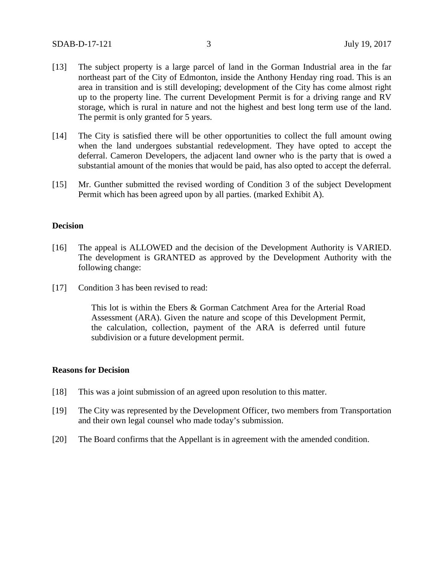- [13] The subject property is a large parcel of land in the Gorman Industrial area in the far northeast part of the City of Edmonton, inside the Anthony Henday ring road. This is an area in transition and is still developing; development of the City has come almost right up to the property line. The current Development Permit is for a driving range and RV storage, which is rural in nature and not the highest and best long term use of the land. The permit is only granted for 5 years.
- [14] The City is satisfied there will be other opportunities to collect the full amount owing when the land undergoes substantial redevelopment. They have opted to accept the deferral. Cameron Developers, the adjacent land owner who is the party that is owed a substantial amount of the monies that would be paid, has also opted to accept the deferral.
- [15] Mr. Gunther submitted the revised wording of Condition 3 of the subject Development Permit which has been agreed upon by all parties. (marked Exhibit A).

### **Decision**

- [16] The appeal is ALLOWED and the decision of the Development Authority is VARIED. The development is GRANTED as approved by the Development Authority with the following change:
- [17] Condition 3 has been revised to read:

This lot is within the Ebers & Gorman Catchment Area for the Arterial Road Assessment (ARA). Given the nature and scope of this Development Permit, the calculation, collection, payment of the ARA is deferred until future subdivision or a future development permit.

#### **Reasons for Decision**

- [18] This was a joint submission of an agreed upon resolution to this matter.
- [19] The City was represented by the Development Officer, two members from Transportation and their own legal counsel who made today's submission.
- [20] The Board confirms that the Appellant is in agreement with the amended condition.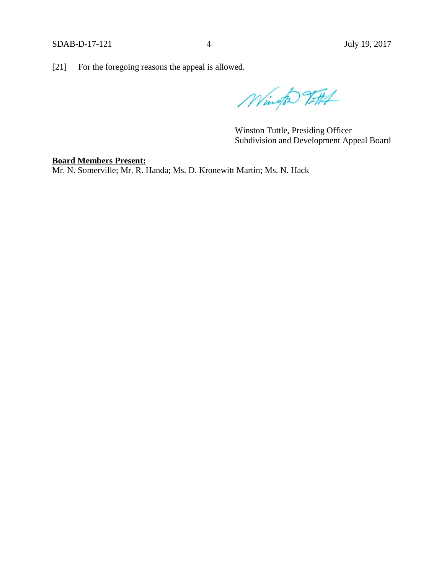[21] For the foregoing reasons the appeal is allowed.

Wington 7-114

Winston Tuttle, Presiding Officer Subdivision and Development Appeal Board

# **Board Members Present:**

Mr. N. Somerville; Mr. R. Handa; Ms. D. Kronewitt Martin; Ms. N. Hack